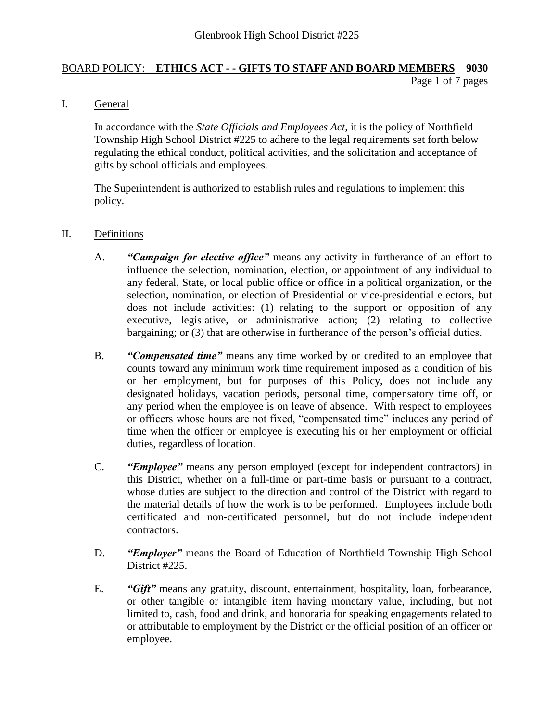### BOARD POLICY: **ETHICS ACT - - GIFTS TO STAFF AND BOARD MEMBERS 9030** Page 1 of 7 pages

I. General

In accordance with the *State Officials and Employees Act,* it is the policy of Northfield Township High School District #225 to adhere to the legal requirements set forth below regulating the ethical conduct, political activities, and the solicitation and acceptance of gifts by school officials and employees.

The Superintendent is authorized to establish rules and regulations to implement this policy.

### II. Definitions

- A. *"Campaign for elective office"* means any activity in furtherance of an effort to influence the selection, nomination, election, or appointment of any individual to any federal, State, or local public office or office in a political organization, or the selection, nomination, or election of Presidential or vice-presidential electors, but does not include activities: (1) relating to the support or opposition of any executive, legislative, or administrative action; (2) relating to collective bargaining; or (3) that are otherwise in furtherance of the person's official duties.
- B. *"Compensated time"* means any time worked by or credited to an employee that counts toward any minimum work time requirement imposed as a condition of his or her employment, but for purposes of this Policy, does not include any designated holidays, vacation periods, personal time, compensatory time off, or any period when the employee is on leave of absence. With respect to employees or officers whose hours are not fixed, "compensated time" includes any period of time when the officer or employee is executing his or her employment or official duties, regardless of location.
- C. *"Employee"* means any person employed (except for independent contractors) in this District, whether on a full-time or part-time basis or pursuant to a contract, whose duties are subject to the direction and control of the District with regard to the material details of how the work is to be performed. Employees include both certificated and non-certificated personnel, but do not include independent contractors.
- D. *"Employer"* means the Board of Education of Northfield Township High School District #225.
- E. *"Gift"* means any gratuity, discount, entertainment, hospitality, loan, forbearance, or other tangible or intangible item having monetary value, including, but not limited to, cash, food and drink, and honoraria for speaking engagements related to or attributable to employment by the District or the official position of an officer or employee.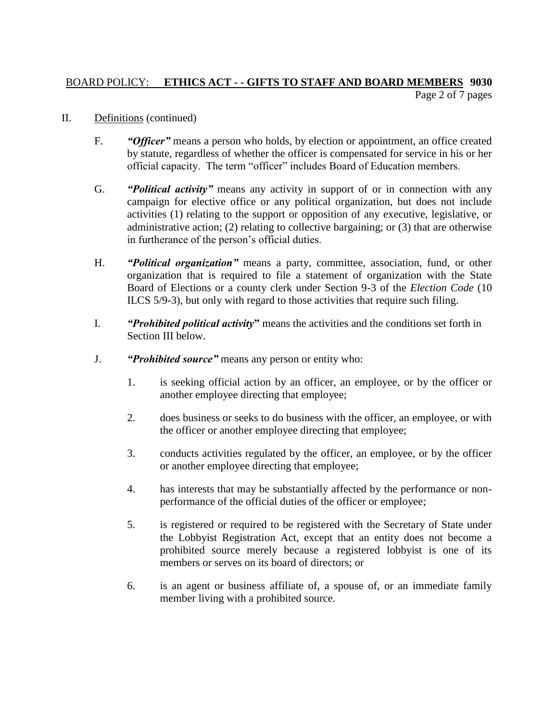# BOARD POLICY: **ETHICS ACT - - GIFTS TO STAFF AND BOARD MEMBERS 9030** Page 2 of 7 pages

- II. Definitions (continued)
	- F. *"Officer"* means a person who holds, by election or appointment, an office created by statute, regardless of whether the officer is compensated for service in his or her official capacity. The term "officer" includes Board of Education members.
	- G. *"Political activity"* means any activity in support of or in connection with any campaign for elective office or any political organization, but does not include activities (1) relating to the support or opposition of any executive, legislative, or administrative action; (2) relating to collective bargaining; or (3) that are otherwise in furtherance of the person's official duties.
	- H. *"Political organization"* means a party, committee, association, fund, or other organization that is required to file a statement of organization with the State Board of Elections or a county clerk under Section 9-3 of the *Election Code* (10 ILCS 5/9-3), but only with regard to those activities that require such filing.
	- I. *"Prohibited political activity***"** means the activities and the conditions set forth in Section III below.
	- J. *"Prohibited source"* means any person or entity who:
		- 1. is seeking official action by an officer, an employee, or by the officer or another employee directing that employee;
		- 2. does business or seeks to do business with the officer, an employee, or with the officer or another employee directing that employee;
		- 3. conducts activities regulated by the officer, an employee, or by the officer or another employee directing that employee;
		- 4. has interests that may be substantially affected by the performance or nonperformance of the official duties of the officer or employee;
		- 5. is registered or required to be registered with the Secretary of State under the Lobbyist Registration Act, except that an entity does not become a prohibited source merely because a registered lobbyist is one of its members or serves on its board of directors; or
		- 6. is an agent or business affiliate of, a spouse of, or an immediate family member living with a prohibited source.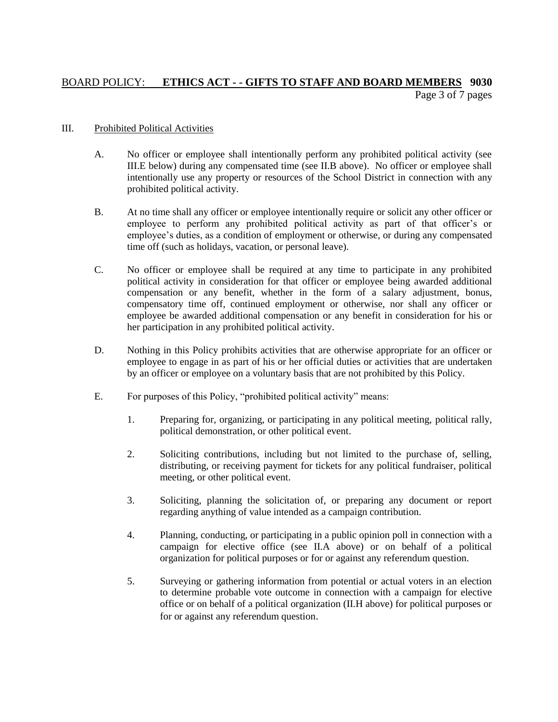# BOARD POLICY: **ETHICS ACT - - GIFTS TO STAFF AND BOARD MEMBERS 9030** Page 3 of 7 pages

#### III. Prohibited Political Activities

- A. No officer or employee shall intentionally perform any prohibited political activity (see III.E below) during any compensated time (see II.B above). No officer or employee shall intentionally use any property or resources of the School District in connection with any prohibited political activity.
- B. At no time shall any officer or employee intentionally require or solicit any other officer or employee to perform any prohibited political activity as part of that officer's or employee's duties, as a condition of employment or otherwise, or during any compensated time off (such as holidays, vacation, or personal leave).
- C. No officer or employee shall be required at any time to participate in any prohibited political activity in consideration for that officer or employee being awarded additional compensation or any benefit, whether in the form of a salary adjustment, bonus, compensatory time off, continued employment or otherwise, nor shall any officer or employee be awarded additional compensation or any benefit in consideration for his or her participation in any prohibited political activity.
- D. Nothing in this Policy prohibits activities that are otherwise appropriate for an officer or employee to engage in as part of his or her official duties or activities that are undertaken by an officer or employee on a voluntary basis that are not prohibited by this Policy.
- E. For purposes of this Policy, "prohibited political activity" means:
	- 1. Preparing for, organizing, or participating in any political meeting, political rally, political demonstration, or other political event.
	- 2. Soliciting contributions, including but not limited to the purchase of, selling, distributing, or receiving payment for tickets for any political fundraiser, political meeting, or other political event.
	- 3. Soliciting, planning the solicitation of, or preparing any document or report regarding anything of value intended as a campaign contribution.
	- 4. Planning, conducting, or participating in a public opinion poll in connection with a campaign for elective office (see II.A above) or on behalf of a political organization for political purposes or for or against any referendum question.
	- 5. Surveying or gathering information from potential or actual voters in an election to determine probable vote outcome in connection with a campaign for elective office or on behalf of a political organization (II.H above) for political purposes or for or against any referendum question.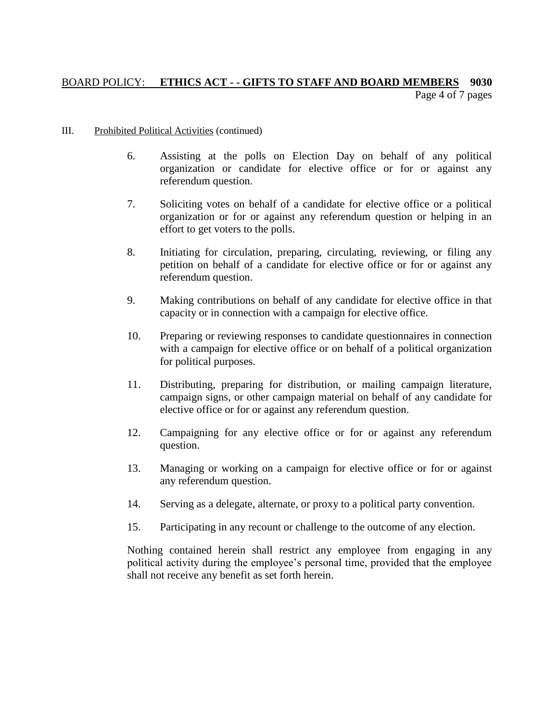# BOARD POLICY: **ETHICS ACT - - GIFTS TO STAFF AND BOARD MEMBERS 9030** Page 4 of 7 pages

#### III. Prohibited Political Activities (continued)

- 6. Assisting at the polls on Election Day on behalf of any political organization or candidate for elective office or for or against any referendum question.
- 7. Soliciting votes on behalf of a candidate for elective office or a political organization or for or against any referendum question or helping in an effort to get voters to the polls.
- 8. Initiating for circulation, preparing, circulating, reviewing, or filing any petition on behalf of a candidate for elective office or for or against any referendum question.
- 9. Making contributions on behalf of any candidate for elective office in that capacity or in connection with a campaign for elective office.
- 10. Preparing or reviewing responses to candidate questionnaires in connection with a campaign for elective office or on behalf of a political organization for political purposes.
- 11. Distributing, preparing for distribution, or mailing campaign literature, campaign signs, or other campaign material on behalf of any candidate for elective office or for or against any referendum question.
- 12. Campaigning for any elective office or for or against any referendum question.
- 13. Managing or working on a campaign for elective office or for or against any referendum question.
- 14. Serving as a delegate, alternate, or proxy to a political party convention.
- 15. Participating in any recount or challenge to the outcome of any election.

Nothing contained herein shall restrict any employee from engaging in any political activity during the employee's personal time, provided that the employee shall not receive any benefit as set forth herein.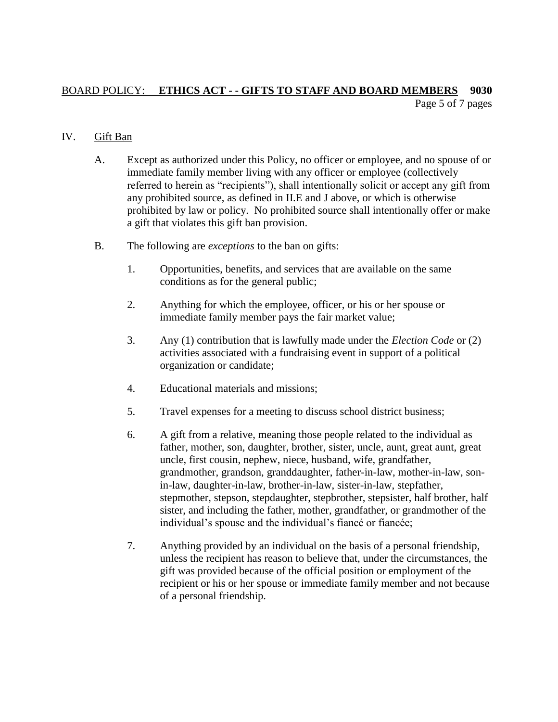## BOARD POLICY: **ETHICS ACT - - GIFTS TO STAFF AND BOARD MEMBERS 9030** Page 5 of 7 pages

## IV. Gift Ban

- A. Except as authorized under this Policy, no officer or employee, and no spouse of or immediate family member living with any officer or employee (collectively referred to herein as "recipients"), shall intentionally solicit or accept any gift from any prohibited source, as defined in II.E and J above, or which is otherwise prohibited by law or policy. No prohibited source shall intentionally offer or make a gift that violates this gift ban provision.
- B. The following are *exceptions* to the ban on gifts:
	- 1. Opportunities, benefits, and services that are available on the same conditions as for the general public;
	- 2. Anything for which the employee, officer, or his or her spouse or immediate family member pays the fair market value;
	- 3. Any (1) contribution that is lawfully made under the *Election Code* or (2) activities associated with a fundraising event in support of a political organization or candidate;
	- 4. Educational materials and missions;
	- 5. Travel expenses for a meeting to discuss school district business;
	- 6. A gift from a relative, meaning those people related to the individual as father, mother, son, daughter, brother, sister, uncle, aunt, great aunt, great uncle, first cousin, nephew, niece, husband, wife, grandfather, grandmother, grandson, granddaughter, father-in-law, mother-in-law, sonin-law, daughter-in-law, brother-in-law, sister-in-law, stepfather, stepmother, stepson, stepdaughter, stepbrother, stepsister, half brother, half sister, and including the father, mother, grandfather, or grandmother of the individual's spouse and the individual's fiancé or fiancée;
	- 7. Anything provided by an individual on the basis of a personal friendship, unless the recipient has reason to believe that, under the circumstances, the gift was provided because of the official position or employment of the recipient or his or her spouse or immediate family member and not because of a personal friendship.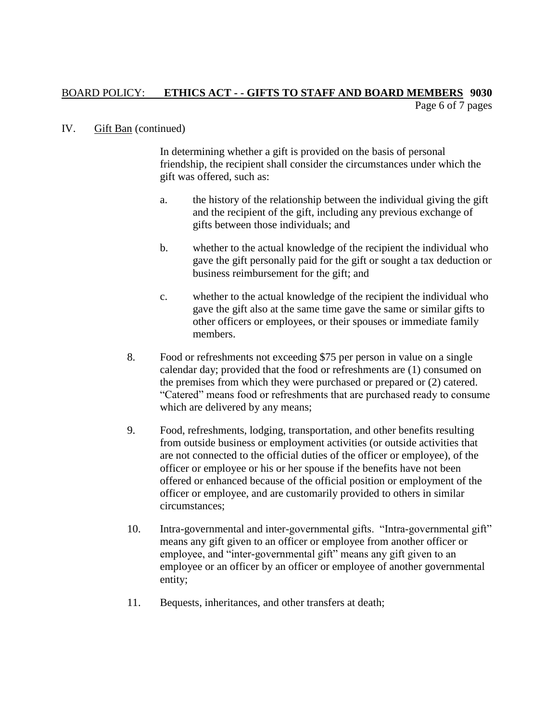## BOARD POLICY: **ETHICS ACT - - GIFTS TO STAFF AND BOARD MEMBERS 9030** Page 6 of 7 pages

### IV. Gift Ban (continued)

In determining whether a gift is provided on the basis of personal friendship, the recipient shall consider the circumstances under which the gift was offered, such as:

- a. the history of the relationship between the individual giving the gift and the recipient of the gift, including any previous exchange of gifts between those individuals; and
- b. whether to the actual knowledge of the recipient the individual who gave the gift personally paid for the gift or sought a tax deduction or business reimbursement for the gift; and
- c. whether to the actual knowledge of the recipient the individual who gave the gift also at the same time gave the same or similar gifts to other officers or employees, or their spouses or immediate family members.
- 8. Food or refreshments not exceeding \$75 per person in value on a single calendar day; provided that the food or refreshments are (1) consumed on the premises from which they were purchased or prepared or (2) catered. "Catered" means food or refreshments that are purchased ready to consume which are delivered by any means;
- 9. Food, refreshments, lodging, transportation, and other benefits resulting from outside business or employment activities (or outside activities that are not connected to the official duties of the officer or employee), of the officer or employee or his or her spouse if the benefits have not been offered or enhanced because of the official position or employment of the officer or employee, and are customarily provided to others in similar circumstances;
- 10. Intra-governmental and inter-governmental gifts. "Intra-governmental gift" means any gift given to an officer or employee from another officer or employee, and "inter-governmental gift" means any gift given to an employee or an officer by an officer or employee of another governmental entity;
- 11. Bequests, inheritances, and other transfers at death;